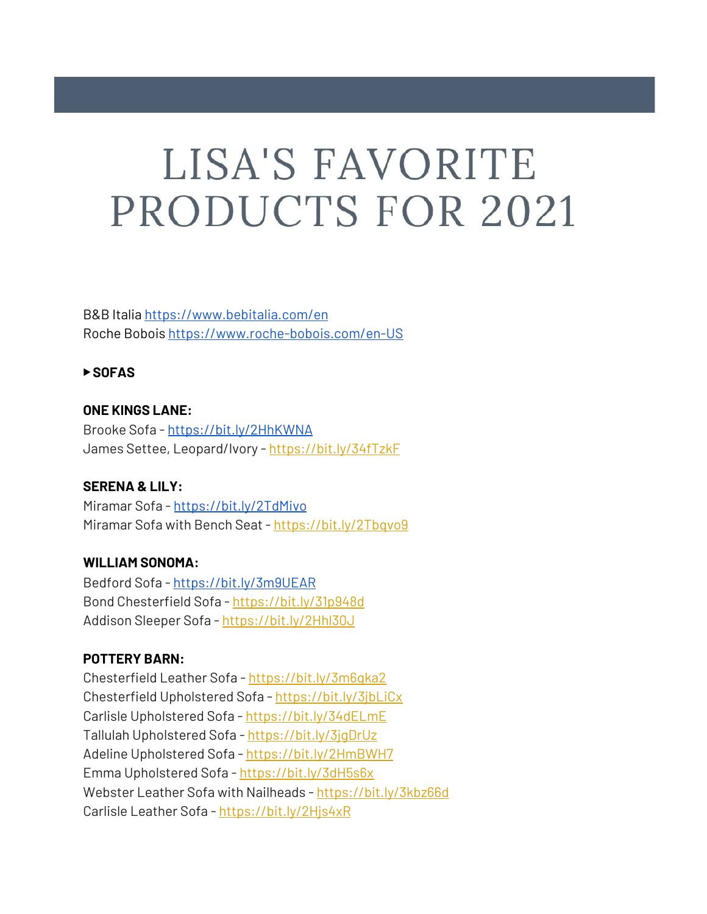# LISA'S FAVORITE PRODUCTS FOR 2021

B&B Italia <https://www.bebitalia.com/en> Roche Bobois <https://www.roche-bobois.com/en-US>

#### ▶ **SOFAS**

## **ONE KINGS LANE:** Brooke Sofa - <https://bit.ly/2HhKWNA> James Settee, Leopard/Ivory - <https://bit.ly/34fTzkF>

## **SERENA & LILY:**

Miramar Sofa - <https://bit.ly/2TdMivo> Miramar Sofa with Bench Seat - <https://bit.ly/2Tbqvo9>

## **WILLIAM SONOMA:**

Bedford Sofa - <https://bit.ly/3m9UEAR> Bond Chesterfield Sofa - <https://bit.ly/31p948d> Addison Sleeper Sofa - <https://bit.ly/2Hhl30J>

## **POTTERY BARN:**

Chesterfield Leather Sofa - <https://bit.ly/3m6qka2> Chesterfield Upholstered Sofa - <https://bit.ly/3jbLiCx> Carlisle Upholstered Sofa - <https://bit.ly/34dELmE> Tallulah Upholstered Sofa - <https://bit.ly/3jgDrUz> Adeline Upholstered Sofa - <https://bit.ly/2HmBWH7> Emma Upholstered Sofa - <https://bit.ly/3dH5s6x> Webster Leather Sofa with Nailheads - <https://bit.ly/3kbz66d> Carlisle Leather Sofa - <https://bit.ly/2Hjs4xR>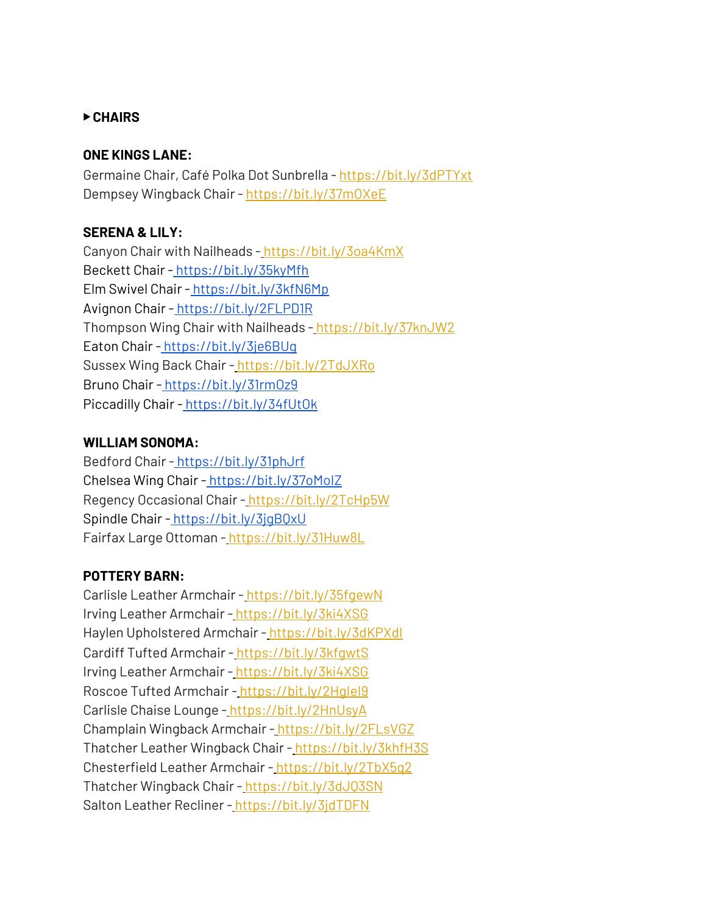## ▶ **CHAIRS**

#### **ONE KINGS LANE:**

Germaine Chair, Café Polka Dot Sunbrella - <https://bit.ly/3dPTYxt> Dempsey Wingback Chair - <https://bit.ly/37mOXeE>

## **SERENA & LILY:**

Canyon Chair with Nailheads - <https://bit.ly/3oa4KmX> Beckett Chair - <https://bit.ly/35kyMfh> Elm Swivel Chair - <https://bit.ly/3kfN6Mp> Avignon Chair - <https://bit.ly/2FLPD1R> Thompson Wing Chair with Nailheads - <https://bit.ly/37knJW2> Eaton Chair - <https://bit.ly/3je6BUg> Sussex Wing Back Chair - <https://bit.ly/2TdJXRo> Bruno Chair - <https://bit.ly/31rmOz9> Piccadilly Chair - <https://bit.ly/34fUtOk>

## **WILLIAM SONOMA:**

Bedford Chair - <https://bit.ly/31phJrf> Chelsea Wing Chair - <https://bit.ly/37oMoIZ> Regency Occasional Chair - <https://bit.ly/2TcHp5W> Spindle Chair - https://bit.ly/3jqBQxU Fairfax Large Ottoman - <https://bit.ly/31Huw8L>

# **POTTERY BARN:**

Carlisle Leather Armchair - <https://bit.ly/35fgewN> Irving Leather Armchair - <https://bit.ly/3ki4XSG> Haylen Upholstered Armchair - https://bit.ly/3dKPXdl Cardiff Tufted Armchair [-](https://bit.ly/3kfgwtS) <https://bit.ly/3kfgwtS> Irving Leather Armchair - <https://bit.ly/3ki4XSG> Roscoe Tufted Armchair - <https://bit.ly/2HgIeI9> Carlisle Chaise Lounge [-](https://bit.ly/2HnUsyA) <https://bit.ly/2HnUsyA> Champlain Wingback Armchair - <https://bit.ly/2FLsVGZ> Thatcher Leather Wingback Chair - <https://bit.ly/3khfH3S> Chesterfield Leather Armchair - <https://bit.ly/2TbX5q2> Thatcher Wingback Chair - <https://bit.ly/3dJQ3SN> Salton Leather Recliner [-](https://bit.ly/3jdTDFN) <https://bit.ly/3jdTDFN>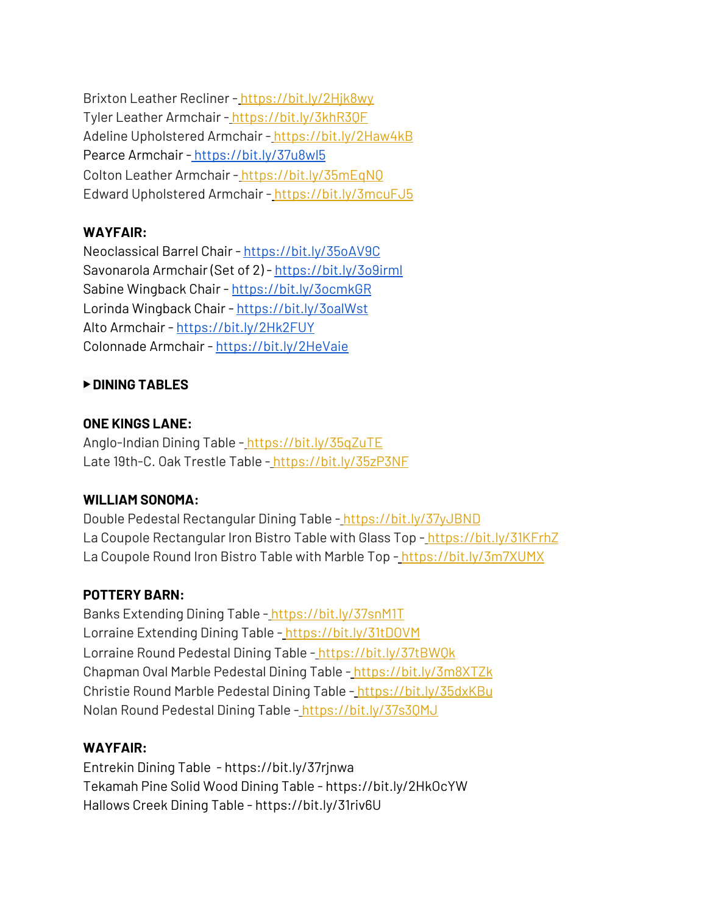Brixton Leather Recliner - <https://bit.ly/2Hjk8wy> Tyler Leather Armchair - <https://bit.ly/3khR3QF> Adeline Upholstered Armchair - <https://bit.ly/2Haw4kB> Pearce Armchair - <https://bit.ly/37u8wl5> Colton Leather Armchair - <https://bit.ly/35mEqNQ> Edward Upholstered Armchair - <https://bit.ly/3mcuFJ5>

# **WAYFAIR:**

Neoclassical Barrel Chair - <https://bit.ly/35oAV9C> Savonarola Armchair (Set of 2) - <https://bit.ly/3o9irml> Sabine Wingback Chair - <https://bit.ly/3ocmkGR> Lorinda Wingback Chair - <https://bit.ly/3oalWst> Alto Armchair - <https://bit.ly/2Hk2FUY> Colonnade Armchair - <https://bit.ly/2HeVaie>

## ▶ **DINING TABLES**

## **ONE KINGS LANE:**

Anglo-Indian Dining Table - <https://bit.ly/35qZuTE> Late 19th-C. Oak Trestle Table - <https://bit.ly/35zP3NF>

# **WILLIAM SONOMA:**

Double Pedestal Rectangular Dining Table - <https://bit.ly/37yJBND> La Coupole Rectangular Iron Bistro Table with Glass Top [-](https://bit.ly/31KFrhZ) <https://bit.ly/31KFrhZ> La Coupole Round Iron Bistro Table with Marble Top [-](https://bit.ly/3m7XUMX) <https://bit.ly/3m7XUMX>

# **POTTERY BARN:**

Banks Extending Dining Table [-](https://bit.ly/37snM1T) <https://bit.ly/37snM1T> Lorraine Extending Dining Table - <https://bit.ly/31tDOVM> Lorraine Round Pedestal Dining Table - <https://bit.ly/37tBWQk> Chapman Oval Marble Pedestal Dining Table - <https://bit.ly/3m8XTZk> Christie Round Marble Pedestal Dining Table - <https://bit.ly/35dxKBu> Nolan Round Pedestal Dining Table - <https://bit.ly/37s3QMJ>

## **WAYFAIR:**

Entrekin Dining Table - https://bit.ly/37rjnwa Tekamah Pine Solid Wood Dining Table - https://bit.ly/2HkOcYW Hallows Creek Dining Table - https://bit.ly/31riv6U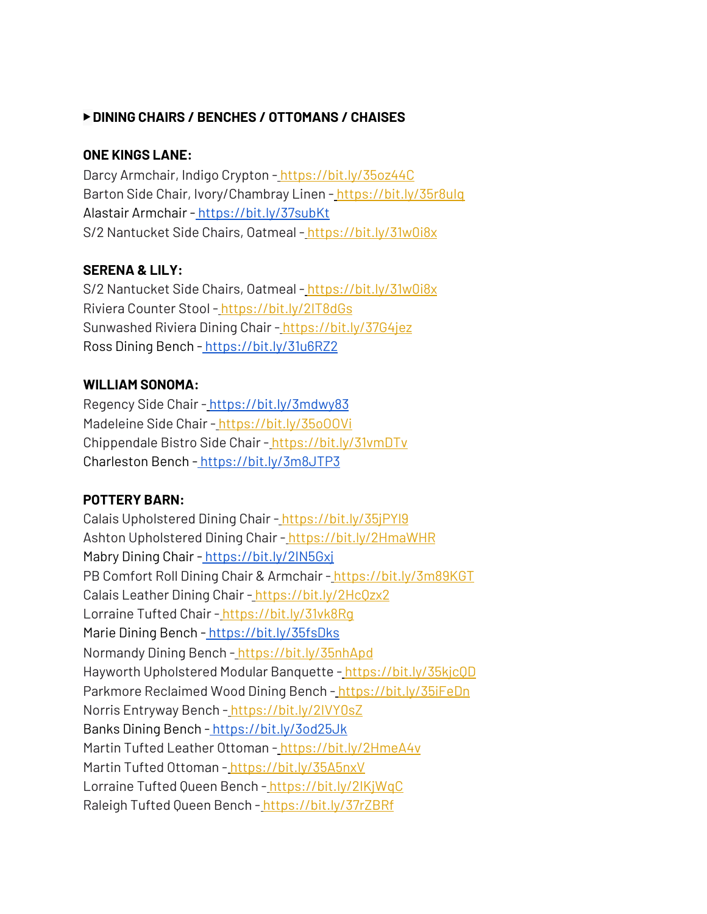## ▶ **DINING CHAIRS / BENCHES / OTTOMANS / CHAISES**

## **ONE KINGS LANE:**

Darcy Armchair, Indigo Crypton [-](https://bit.ly/35oz44C) <https://bit.ly/35oz44C> Barton Side Chair, Ivory/Chambray Linen - https://bit.ly/35r8ulq Alastair Armchair - <https://bit.ly/37subKt> S/2 Nantucket Side Chairs, Oatmeal - <https://bit.ly/31w0i8x>

## **SERENA & LILY:**

S/2 Nantucket Side Chairs, Oatmeal - <https://bit.ly/31w0i8x> Riviera Counter Stool [-](https://bit.ly/2IT8dGs) <https://bit.ly/2IT8dGs> Sunwashed Riviera Dining Chair [-](https://bit.ly/37G4jez) <https://bit.ly/37G4jez> Ross Dining Bench - <https://bit.ly/31u6RZ2>

#### **WILLIAM SONOMA:**

Regency Side Chair - <https://bit.ly/3mdwy83> Madeleine Side Chair - https://bit.ly/35o00Vi Chippendale Bistro Side Chair - <https://bit.ly/31vmDTv> Charleston Bench - <https://bit.ly/3m8JTP3>

## **POTTERY BARN:**

Calais Upholstered Dining Chair - <https://bit.ly/35jPYl9> Ashton Upholstered Dining Chair - <https://bit.ly/2HmaWHR> Mabry Dining Chair - https://bit.ly/2IN5Gxi PB Comfort Roll Dining Chair & Armchair [-](https://bit.ly/3m89KGT) <https://bit.ly/3m89KGT> Calais Leather Dining Chair [-](https://bit.ly/2HcQzx2) <https://bit.ly/2HcQzx2> Lorraine Tufted Chair - https://bit.ly/31vk8Rq Marie Dining Bench - <https://bit.ly/35fsDks> Normandy Dining Bench [-](https://bit.ly/35nhApd) <https://bit.ly/35nhApd> Hayworth Upholstered Modular Banquette [-](https://bit.ly/35kjcQD) <https://bit.ly/35kjcQD> Parkmore Reclaimed Wood Dining Bench [-](https://bit.ly/35iFeDn) <https://bit.ly/35iFeDn> Norris Entryway Bench [-](https://bit.ly/2IVY0sZ) <https://bit.ly/2IVY0sZ> Banks Dining Bench - <https://bit.ly/3od25Jk> Martin Tufted Leather Ottoman [-](https://bit.ly/2HmeA4v) <https://bit.ly/2HmeA4v> Martin Tufted Ottoman - <https://bit.ly/35A5nxV> Lorraine Tufted Queen Bench [-](https://bit.ly/2IKjWqC) <https://bit.ly/2IKjWqC> Raleigh Tufted Queen Bench - <https://bit.ly/37rZBRf>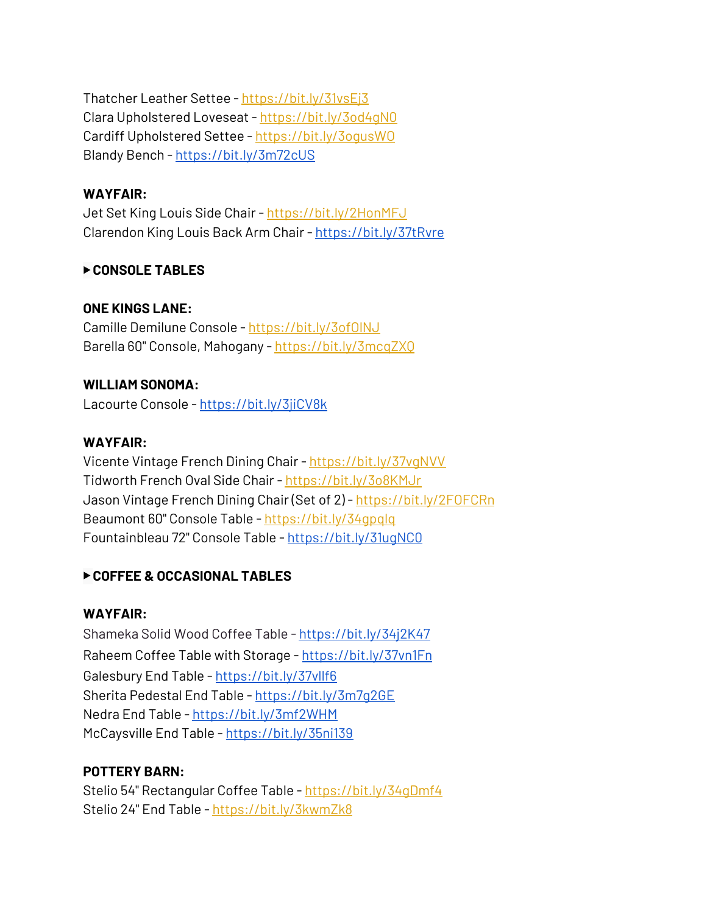Thatcher Leather Settee [-](https://bit.ly/31vsEj3) <https://bit.ly/31vsEj3> Clara Upholstered Loveseat - <https://bit.ly/3od4gN0> Cardiff Upholstered Settee - <https://bit.ly/3ogusWO> Blandy Bench [-](https://bit.ly/3m72cUS) <https://bit.ly/3m72cUS>

## **WAYFAIR:**

Jet Set King Louis Side Chair - <https://bit.ly/2HonMFJ> Clarendon King Louis Back Arm Chair - <https://bit.ly/37tRvre>

#### ▶ **CONSOLE TABLES**

#### **ONE KINGS LANE:**

Camille Demilune Console - <https://bit.ly/3ofOlNJ> Barella 60" Console, Mahogany - <https://bit.ly/3mcqZXQ>

#### **WILLIAM SONOMA:**

Lacourte Console [-](https://bit.ly/3jiCV8k) <https://bit.ly/3jiCV8k>

#### **WAYFAIR:**

Vicente Vintage French Dining Chair - <https://bit.ly/37vgNVV> Tidworth French Oval Side Chair [-](https://bit.ly/3o8KMJr) <https://bit.ly/3o8KMJr> Jason Vintage French Dining Chair (Set of 2) - <https://bit.ly/2FOFCRn> Beaumont 60" Console Table [-](https://bit.ly/34gpqlq) <https://bit.ly/34gpqlq> Fountainbleau 72" Console Table - <https://bit.ly/31ugNC0>

## ▶ **COFFEE & OCCASIONAL TABLES**

## **WAYFAIR:**

Shameka Solid Wood Coffee Table - <https://bit.ly/34j2K47> Raheem Coffee Table with Storage - <https://bit.ly/37vn1Fn> Galesbury End Table - <https://bit.ly/37vllf6> Sherita Pedestal End Table - <https://bit.ly/3m7g2GE> Nedra End Table - <https://bit.ly/3mf2WHM> McCaysville End Table - <https://bit.ly/35ni139>

## **POTTERY BARN:**

Stelio 54" Rectangular Coffee Table - <https://bit.ly/34gDmf4> Stelio 24" End Table - <https://bit.ly/3kwmZk8>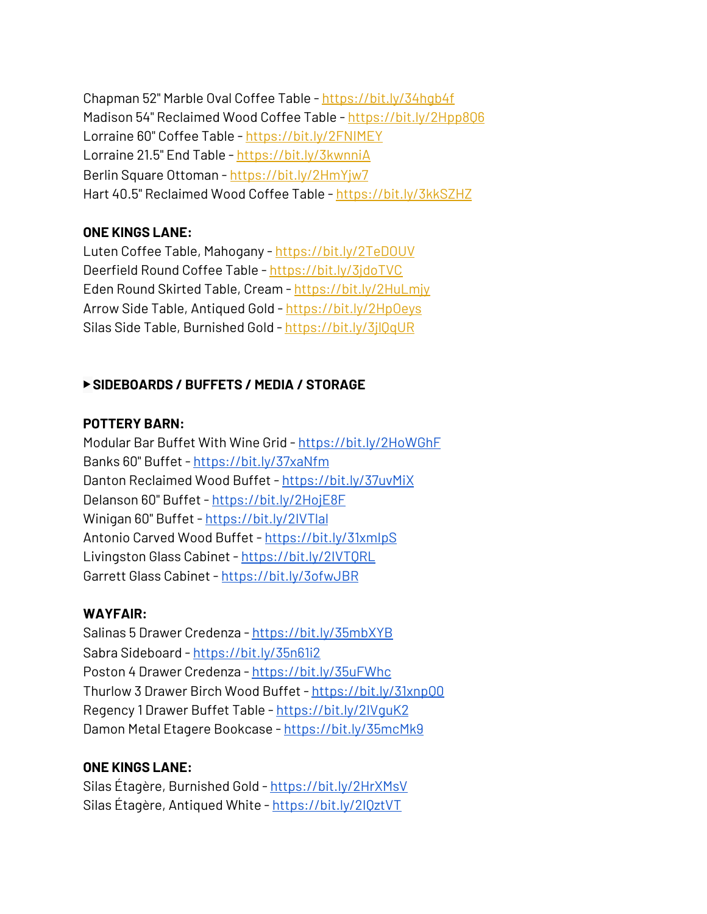Chapman 52" Marble Oval Coffee Table - <https://bit.ly/34hgb4f> Madison 54" Reclaimed Wood Coffee Table - <https://bit.ly/2Hpp8Q6> Lorraine 60" Coffee Table - <https://bit.ly/2FNIMEY> Lorraine 21.5" End Table [-](https://bit.ly/3kwnniA) <https://bit.ly/3kwnniA> Berlin Square Ottoman [-](https://bit.ly/2HmYjw7) <https://bit.ly/2HmYjw7> Hart 40.5" Reclaimed Wood Coffee Table - <https://bit.ly/3kkSZHZ>

## **ONE KINGS LANE:**

Luten Coffee Table, Mahogany [-](https://bit.ly/2TeDOUV) <https://bit.ly/2TeDOUV> Deerfield Round Coffee Table [-](https://bit.ly/3jdoTVC) <https://bit.ly/3jdoTVC> Eden Round Skirted Table, Cream - <https://bit.ly/2HuLmjy> Arrow Side Table, Antiqued Gold - <https://bit.ly/2HpOeys> Silas Side Table, Burnished Gold [-](https://bit.ly/3jlQqUR) <https://bit.ly/3jlQqUR>

## ▶ **SIDEBOARDS / BUFFETS / MEDIA / STORAGE**

## **POTTERY BARN:**

Modular Bar Buffet With Wine Grid - <https://bit.ly/2HoWGhF> Banks 60" Buffet - <https://bit.ly/37xaNfm> Danton Reclaimed Wood Buffet - <https://bit.ly/37uvMiX> Delanson 60" Buffet - <https://bit.ly/2HojE8F> Winigan 60" Buffet - <https://bit.ly/2IVTlal> Antonio Carved Wood Buffet - <https://bit.ly/31xmIpS> Livingston Glass Cabinet - https://bit.ly/2IVTORL Garrett Glass Cabinet - <https://bit.ly/3ofwJBR>

## **WAYFAIR:**

Salinas 5 Drawer Credenza - <https://bit.ly/35mbXYB> Sabra Sideboard - <https://bit.ly/35n61i2> Poston 4 Drawer Credenza - <https://bit.ly/35uFWhc> Thurlow 3 Drawer Birch Wood Buffet - <https://bit.ly/31xnpQ0> Regency 1 Drawer Buffet Table - https://bit.ly/2IVquK2 Damon Metal Etagere Bookcase - <https://bit.ly/35mcMk9>

# **ONE KINGS LANE:**

Silas Étagère, Burnished Gold - <https://bit.ly/2HrXMsV> Silas Étagère, Antiqued White - <https://bit.ly/2IQztVT>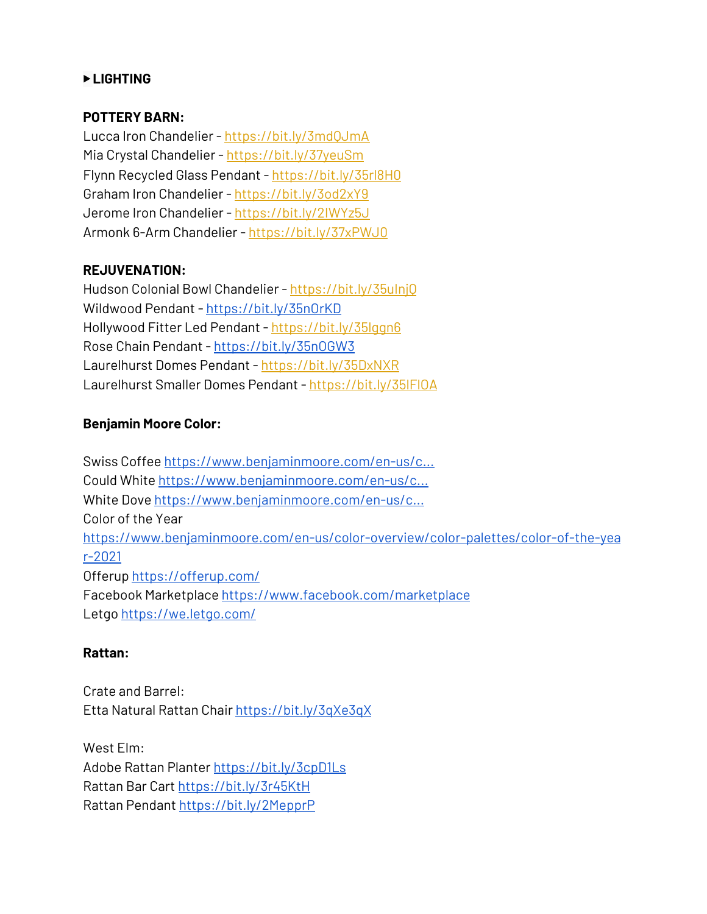## ▶ **LIGHTING**

## **POTTERY BARN:**

Lucca Iron Chandelier [-](https://bit.ly/3mdQJmA) <https://bit.ly/3mdQJmA> Mia Crystal Chandelier - <https://bit.ly/37yeuSm> Flynn Recycled Glass Pendant - <https://bit.ly/35rl8H0> Graham Iron Chandelier - <https://bit.ly/3od2xY9> Jerome Iron Chandelier - <https://bit.ly/2IWYz5J> Armonk 6-Arm Chandelier - <https://bit.ly/37xPWJ0>

## **REJUVENATION:**

Hudson Colonial Bowl Chandelier - <https://bit.ly/35uInjQ> Wildwood Pendant [-](https://bit.ly/35nOrKD) <https://bit.ly/35nOrKD> Hollywood Fitter Led Pendant [-](https://bit.ly/35lggn6) <https://bit.ly/35lggn6> Rose Chain Pendant - <https://bit.ly/35nOGW3> Laurelhurst Domes Pendant - <https://bit.ly/35DxNXR> Laurelhurst Smaller Domes Pendant - <https://bit.ly/35lFlOA>

## **Benjamin Moore Color:**

Swiss Coffee [https://www.benjaminmoore.com/en-us/c...](https://www.youtube.com/redirect?event=video_description&redir_token=QUFFLUhqbG44QVNnWmN3T1MxLWs3bFFIYzQ1blV0dlh4QXxBQ3Jtc0ttRnpGbGZraFFSaW45WFNIaUlPLWtwcU5aLWg1SENaMC01US1tY2JzM25TUG04WVVJN1BzMldFNmpSVHJVV3l5NzlLYTNiVzJiSnJFLWtLS2d2YWh3SkJQU2FOU0JMZ3JyR0NUZVY2WW5wN3dqUjEtWQ&q=https%3A%2F%2Fwww.benjaminmoore.com%2Fen-us%2Fcolor-overview%2Ffind-your-color%2Fcolor%2Foc-45%2Fswiss-coffee%3Fcolor%3DOC-45) Could White [https://www.benjaminmoore.com/en-us/c...](https://www.youtube.com/redirect?event=video_description&redir_token=QUFFLUhqa0owcHpkVHZ2aG81aWNjOXZiNjJQQUx3Y2hzd3xBQ3Jtc0tuRW9CUk1TbmFrU21JazJ2RkhxalZmQmZ2UUpCU3g2a2dyeGx5NkxNNUlIQnF0SEplbzhaTE1yS2hNcktFdUd0M0JWbXE0cVlFVUtBY05MQTJYRklQUW1JOEk4b01YRUVnNzJfakw3YW5Cb2N1QlF4OA&q=https%3A%2F%2Fwww.benjaminmoore.com%2Fen-us%2Fcolor-overview%2Ffind-your-color%2Fcolor%2Foc-130%2Fcloud-white%3Fcolor%3DOC-130%26source%3D%252Fen-us%252Fcolor-overview%252Ffind-your-color%252Fcolor-search) White Dove [https://www.benjaminmoore.com/en-us/c...](https://www.youtube.com/redirect?event=video_description&redir_token=QUFFLUhqbVFURVlEdWI4QzdObEN1VV9tbEdMZUVzMGdMZ3xBQ3Jtc0trTjJ3VWpXa3ZWRFhRSklZTTItdUppNkRkNGdBZm1PUmt3b1NlczdzdFp1eTRIRm1tTVlKSUFfWFhraWNWOUFHOVJreXZmcEFkaGlUR0xPa05HVUFTazZTQUF1N2VhMDZPZkZqMTJEUkxmeXVFNFBjYw&q=https%3A%2F%2Fwww.benjaminmoore.com%2Fen-us%2Fcolor-overview%2Ffind-your-color%2Fcolor%2Foc-17%2Fwhite-dove%3Fcolor%3DOC-17%26source%3D%252Fen-us%252Fcolor-overview%252Ffind-your-color%252Fcolor-search) Color of the Year [https://www.benjaminmoore.com/en-us/color-overview/color-palettes/color-of-the-yea](https://www.benjaminmoore.com/en-us/color-overview/color-palettes/color-of-the-year-2021) [r-2021](https://www.benjaminmoore.com/en-us/color-overview/color-palettes/color-of-the-year-2021) Offerup <https://offerup.com/> Facebook Marketplace <https://www.facebook.com/marketplace> Letgo <https://we.letgo.com/>

## **Rattan:**

Crate and Barrel: Etta Natural Rattan Chair <https://bit.ly/3qXe3qX>

West Elm: Adobe Rattan Planter <https://bit.ly/3cpD1Ls> Rattan Bar Cart <https://bit.ly/3r45KtH> Rattan Pendant <https://bit.ly/2MepprP>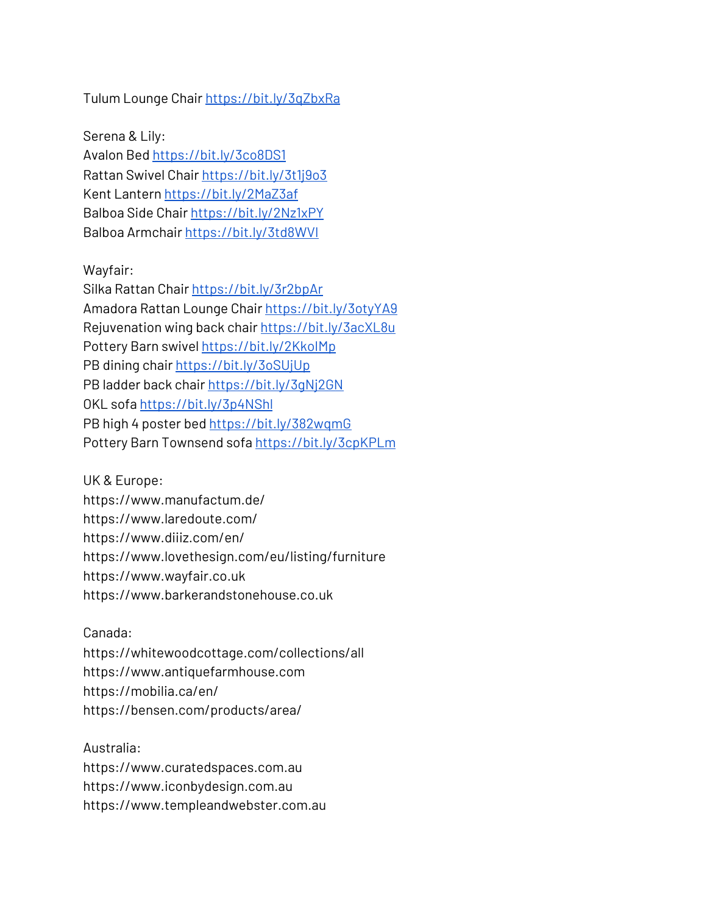Tulum Lounge Chair <https://bit.ly/3qZbxRa>

Serena & Lily: Avalon Bed <https://bit.ly/3co8DS1> Rattan Swivel Chair <https://bit.ly/3t1j9o3> Kent Lantern <https://bit.ly/2MaZ3af> Balboa Side Chair <https://bit.ly/2Nz1xPY> Balboa Armchair <https://bit.ly/3td8WVI>

#### Wayfair:

Silka Rattan Chair <https://bit.ly/3r2bpAr> Amadora Rattan Lounge Chair <https://bit.ly/3otyYA9> Rejuvenation wing back chair <https://bit.ly/3acXL8u> Pottery Barn swivel https://bit.ly/2KkolMp PB dining chair <https://bit.ly/3oSUjUp> PB ladder back chair <https://bit.ly/3gNj2GN> OKL sofa <https://bit.ly/3p4NShl> PB high 4 poster bed <https://bit.ly/382wqmG> Pottery Barn Townsend sofa <https://bit.ly/3cpKPLm>

UK & Europe:

https://www.manufactum.de/ https://www.laredoute.com/ https://www.diiiz.com/en/ https://www.lovethesign.com/eu/listing/furniture https://www.wayfair.co.uk https://www.barkerandstonehouse.co.uk

#### Canada:

https://whitewoodcottage.com/collections/all https://www.antiquefarmhouse.com https://mobilia.ca/en/ https://bensen.com/products/area/

Australia: https://www.curatedspaces.com.au https://www.iconbydesign.com.au https://www.templeandwebster.com.au